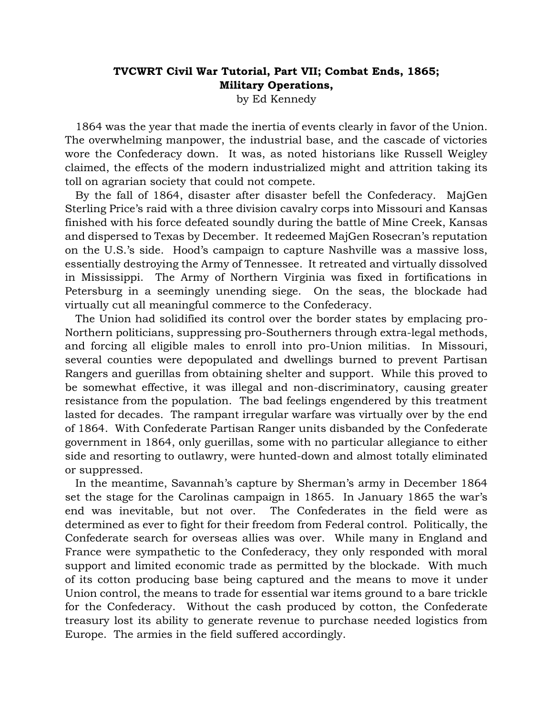## **TVCWRT Civil War Tutorial, Part VII; Combat Ends, 1865; Military Operations,**

by Ed Kennedy

 1864 was the year that made the inertia of events clearly in favor of the Union. The overwhelming manpower, the industrial base, and the cascade of victories wore the Confederacy down. It was, as noted historians like Russell Weigley claimed, the effects of the modern industrialized might and attrition taking its toll on agrarian society that could not compete.

 By the fall of 1864, disaster after disaster befell the Confederacy. MajGen Sterling Price's raid with a three division cavalry corps into Missouri and Kansas finished with his force defeated soundly during the battle of Mine Creek, Kansas and dispersed to Texas by December. It redeemed MajGen Rosecran's reputation on the U.S.'s side. Hood's campaign to capture Nashville was a massive loss, essentially destroying the Army of Tennessee. It retreated and virtually dissolved in Mississippi. The Army of Northern Virginia was fixed in fortifications in Petersburg in a seemingly unending siege. On the seas, the blockade had virtually cut all meaningful commerce to the Confederacy.

 The Union had solidified its control over the border states by emplacing pro-Northern politicians, suppressing pro-Southerners through extra-legal methods, and forcing all eligible males to enroll into pro-Union militias. In Missouri, several counties were depopulated and dwellings burned to prevent Partisan Rangers and guerillas from obtaining shelter and support. While this proved to be somewhat effective, it was illegal and non-discriminatory, causing greater resistance from the population. The bad feelings engendered by this treatment lasted for decades. The rampant irregular warfare was virtually over by the end of 1864. With Confederate Partisan Ranger units disbanded by the Confederate government in 1864, only guerillas, some with no particular allegiance to either side and resorting to outlawry, were hunted-down and almost totally eliminated or suppressed.

 In the meantime, Savannah's capture by Sherman's army in December 1864 set the stage for the Carolinas campaign in 1865. In January 1865 the war's end was inevitable, but not over. The Confederates in the field were as determined as ever to fight for their freedom from Federal control. Politically, the Confederate search for overseas allies was over. While many in England and France were sympathetic to the Confederacy, they only responded with moral support and limited economic trade as permitted by the blockade. With much of its cotton producing base being captured and the means to move it under Union control, the means to trade for essential war items ground to a bare trickle for the Confederacy. Without the cash produced by cotton, the Confederate treasury lost its ability to generate revenue to purchase needed logistics from Europe. The armies in the field suffered accordingly.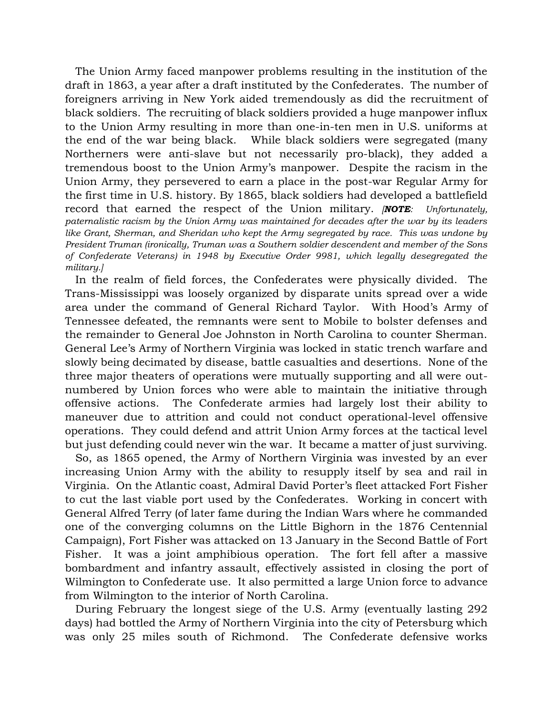The Union Army faced manpower problems resulting in the institution of the draft in 1863, a year after a draft instituted by the Confederates. The number of foreigners arriving in New York aided tremendously as did the recruitment of black soldiers. The recruiting of black soldiers provided a huge manpower influx to the Union Army resulting in more than one-in-ten men in U.S. uniforms at the end of the war being black. While black soldiers were segregated (many Northerners were anti-slave but not necessarily pro-black), they added a tremendous boost to the Union Army's manpower. Despite the racism in the Union Army, they persevered to earn a place in the post-war Regular Army for the first time in U.S. history. By 1865, black soldiers had developed a battlefield record that earned the respect of the Union military. *[NOTE: Unfortunately, paternalistic racism by the Union Army was maintained for decades after the war by its leaders like Grant, Sherman, and Sheridan who kept the Army segregated by race. This was undone by President Truman (ironically, Truman was a Southern soldier descendent and member of the Sons of Confederate Veterans) in 1948 by Executive Order 9981, which legally desegregated the military.]* 

 In the realm of field forces, the Confederates were physically divided. The Trans-Mississippi was loosely organized by disparate units spread over a wide area under the command of General Richard Taylor. With Hood's Army of Tennessee defeated, the remnants were sent to Mobile to bolster defenses and the remainder to General Joe Johnston in North Carolina to counter Sherman. General Lee's Army of Northern Virginia was locked in static trench warfare and slowly being decimated by disease, battle casualties and desertions. None of the three major theaters of operations were mutually supporting and all were outnumbered by Union forces who were able to maintain the initiative through offensive actions. The Confederate armies had largely lost their ability to maneuver due to attrition and could not conduct operational-level offensive operations. They could defend and attrit Union Army forces at the tactical level but just defending could never win the war. It became a matter of just surviving.

 So, as 1865 opened, the Army of Northern Virginia was invested by an ever increasing Union Army with the ability to resupply itself by sea and rail in Virginia. On the Atlantic coast, Admiral David Porter's fleet attacked Fort Fisher to cut the last viable port used by the Confederates. Working in concert with General Alfred Terry (of later fame during the Indian Wars where he commanded one of the converging columns on the Little Bighorn in the 1876 Centennial Campaign), Fort Fisher was attacked on 13 January in the Second Battle of Fort Fisher. It was a joint amphibious operation. The fort fell after a massive bombardment and infantry assault, effectively assisted in closing the port of Wilmington to Confederate use. It also permitted a large Union force to advance from Wilmington to the interior of North Carolina.

 During February the longest siege of the U.S. Army (eventually lasting 292 days) had bottled the Army of Northern Virginia into the city of Petersburg which was only 25 miles south of Richmond. The Confederate defensive works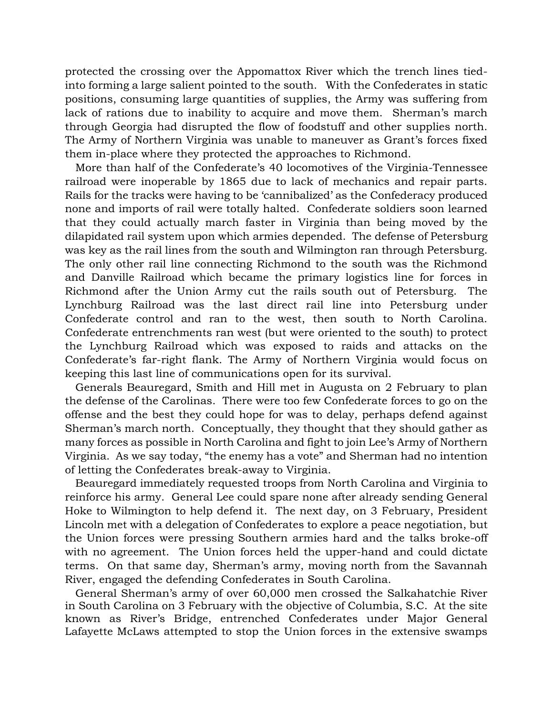protected the crossing over the Appomattox River which the trench lines tiedinto forming a large salient pointed to the south. With the Confederates in static positions, consuming large quantities of supplies, the Army was suffering from lack of rations due to inability to acquire and move them. Sherman's march through Georgia had disrupted the flow of foodstuff and other supplies north. The Army of Northern Virginia was unable to maneuver as Grant's forces fixed them in-place where they protected the approaches to Richmond.

 More than half of the Confederate's 40 locomotives of the Virginia-Tennessee railroad were inoperable by 1865 due to lack of mechanics and repair parts. Rails for the tracks were having to be 'cannibalized' as the Confederacy produced none and imports of rail were totally halted. Confederate soldiers soon learned that they could actually march faster in Virginia than being moved by the dilapidated rail system upon which armies depended. The defense of Petersburg was key as the rail lines from the south and Wilmington ran through Petersburg. The only other rail line connecting Richmond to the south was the Richmond and Danville Railroad which became the primary logistics line for forces in Richmond after the Union Army cut the rails south out of Petersburg. The Lynchburg Railroad was the last direct rail line into Petersburg under Confederate control and ran to the west, then south to North Carolina. Confederate entrenchments ran west (but were oriented to the south) to protect the Lynchburg Railroad which was exposed to raids and attacks on the Confederate's far-right flank. The Army of Northern Virginia would focus on keeping this last line of communications open for its survival.

 Generals Beauregard, Smith and Hill met in Augusta on 2 February to plan the defense of the Carolinas. There were too few Confederate forces to go on the offense and the best they could hope for was to delay, perhaps defend against Sherman's march north. Conceptually, they thought that they should gather as many forces as possible in North Carolina and fight to join Lee's Army of Northern Virginia. As we say today, "the enemy has a vote" and Sherman had no intention of letting the Confederates break-away to Virginia.

 Beauregard immediately requested troops from North Carolina and Virginia to reinforce his army. General Lee could spare none after already sending General Hoke to Wilmington to help defend it. The next day, on 3 February, President Lincoln met with a delegation of Confederates to explore a peace negotiation, but the Union forces were pressing Southern armies hard and the talks broke-off with no agreement. The Union forces held the upper-hand and could dictate terms. On that same day, Sherman's army, moving north from the Savannah River, engaged the defending Confederates in South Carolina.

 General Sherman's army of over 60,000 men crossed the Salkahatchie River in South Carolina on 3 February with the objective of Columbia, S.C. At the site known as River's Bridge, entrenched Confederates under Major General Lafayette McLaws attempted to stop the Union forces in the extensive swamps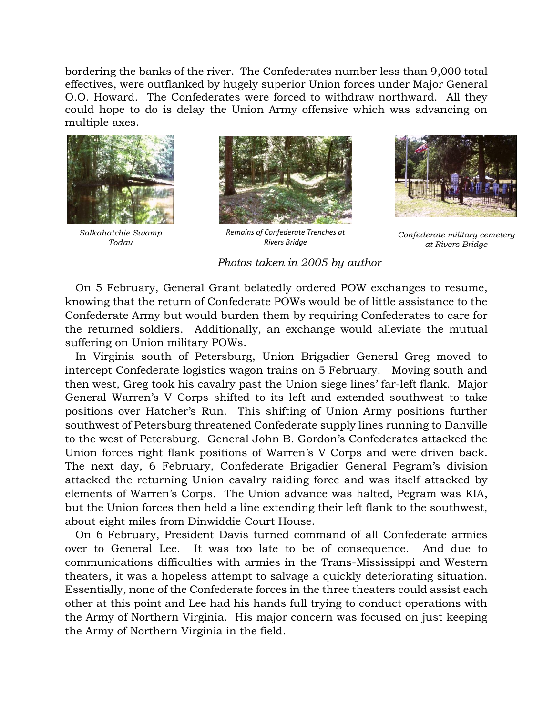bordering the banks of the river. The Confederates number less than 9,000 total effectives, were outflanked by hugely superior Union forces under Major General O.O. Howard. The Confederates were forced to withdraw northward. All they could hope to do is delay the Union Army offensive which was advancing on multiple axes.



*Salkahatchie Swamp Today*



*Remains of Confederate Trenches at Rivers Bridge*



*Confederate military cemetery at Rivers Bridge*

*Photos taken in 2005 by author*

 On 5 February, General Grant belatedly ordered POW exchanges to resume, knowing that the return of Confederate POWs would be of little assistance to the Confederate Army but would burden them by requiring Confederates to care for the returned soldiers. Additionally, an exchange would alleviate the mutual suffering on Union military POWs.

 In Virginia south of Petersburg, Union Brigadier General Greg moved to intercept Confederate logistics wagon trains on 5 February. Moving south and then west, Greg took his cavalry past the Union siege lines' far-left flank. Major General Warren's V Corps shifted to its left and extended southwest to take positions over Hatcher's Run. This shifting of Union Army positions further southwest of Petersburg threatened Confederate supply lines running to Danville to the west of Petersburg. General John B. Gordon's Confederates attacked the Union forces right flank positions of Warren's V Corps and were driven back. The next day, 6 February, Confederate Brigadier General Pegram's division attacked the returning Union cavalry raiding force and was itself attacked by elements of Warren's Corps. The Union advance was halted, Pegram was KIA, but the Union forces then held a line extending their left flank to the southwest, about eight miles from Dinwiddie Court House.

 On 6 February, President Davis turned command of all Confederate armies over to General Lee. It was too late to be of consequence. And due to communications difficulties with armies in the Trans-Mississippi and Western theaters, it was a hopeless attempt to salvage a quickly deteriorating situation. Essentially, none of the Confederate forces in the three theaters could assist each other at this point and Lee had his hands full trying to conduct operations with the Army of Northern Virginia. His major concern was focused on just keeping the Army of Northern Virginia in the field.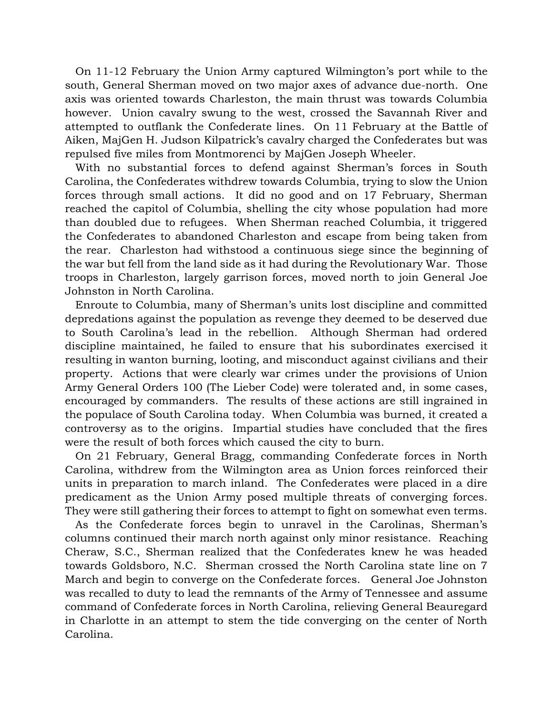On 11-12 February the Union Army captured Wilmington's port while to the south, General Sherman moved on two major axes of advance due-north. One axis was oriented towards Charleston, the main thrust was towards Columbia however. Union cavalry swung to the west, crossed the Savannah River and attempted to outflank the Confederate lines. On 11 February at the Battle of Aiken, MajGen H. Judson Kilpatrick's cavalry charged the Confederates but was repulsed five miles from Montmorenci by MajGen Joseph Wheeler.

 With no substantial forces to defend against Sherman's forces in South Carolina, the Confederates withdrew towards Columbia, trying to slow the Union forces through small actions. It did no good and on 17 February, Sherman reached the capitol of Columbia, shelling the city whose population had more than doubled due to refugees. When Sherman reached Columbia, it triggered the Confederates to abandoned Charleston and escape from being taken from the rear. Charleston had withstood a continuous siege since the beginning of the war but fell from the land side as it had during the Revolutionary War. Those troops in Charleston, largely garrison forces, moved north to join General Joe Johnston in North Carolina.

 Enroute to Columbia, many of Sherman's units lost discipline and committed depredations against the population as revenge they deemed to be deserved due to South Carolina's lead in the rebellion. Although Sherman had ordered discipline maintained, he failed to ensure that his subordinates exercised it resulting in wanton burning, looting, and misconduct against civilians and their property. Actions that were clearly war crimes under the provisions of Union Army General Orders 100 (The Lieber Code) were tolerated and, in some cases, encouraged by commanders. The results of these actions are still ingrained in the populace of South Carolina today. When Columbia was burned, it created a controversy as to the origins. Impartial studies have concluded that the fires were the result of both forces which caused the city to burn.

 On 21 February, General Bragg, commanding Confederate forces in North Carolina, withdrew from the Wilmington area as Union forces reinforced their units in preparation to march inland. The Confederates were placed in a dire predicament as the Union Army posed multiple threats of converging forces. They were still gathering their forces to attempt to fight on somewhat even terms.

 As the Confederate forces begin to unravel in the Carolinas, Sherman's columns continued their march north against only minor resistance. Reaching Cheraw, S.C., Sherman realized that the Confederates knew he was headed towards Goldsboro, N.C. Sherman crossed the North Carolina state line on 7 March and begin to converge on the Confederate forces. General Joe Johnston was recalled to duty to lead the remnants of the Army of Tennessee and assume command of Confederate forces in North Carolina, relieving General Beauregard in Charlotte in an attempt to stem the tide converging on the center of North Carolina.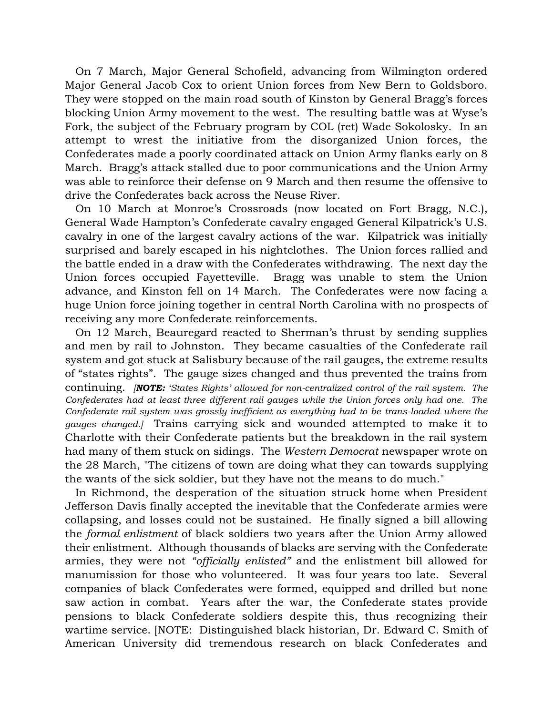On 7 March, Major General Schofield, advancing from Wilmington ordered Major General Jacob Cox to orient Union forces from New Bern to Goldsboro. They were stopped on the main road south of Kinston by General Bragg's forces blocking Union Army movement to the west. The resulting battle was at Wyse's Fork, the subject of the February program by COL (ret) Wade Sokolosky. In an attempt to wrest the initiative from the disorganized Union forces, the Confederates made a poorly coordinated attack on Union Army flanks early on 8 March. Bragg's attack stalled due to poor communications and the Union Army was able to reinforce their defense on 9 March and then resume the offensive to drive the Confederates back across the Neuse River.

 On 10 March at Monroe's Crossroads (now located on Fort Bragg, N.C.), General Wade Hampton's Confederate cavalry engaged General Kilpatrick's U.S. cavalry in one of the largest cavalry actions of the war. Kilpatrick was initially surprised and barely escaped in his nightclothes. The Union forces rallied and the battle ended in a draw with the Confederates withdrawing. The next day the Union forces occupied Fayetteville. Bragg was unable to stem the Union advance, and Kinston fell on 14 March. The Confederates were now facing a huge Union force joining together in central North Carolina with no prospects of receiving any more Confederate reinforcements.

 On 12 March, Beauregard reacted to Sherman's thrust by sending supplies and men by rail to Johnston. They became casualties of the Confederate rail system and got stuck at Salisbury because of the rail gauges, the extreme results of "states rights". The gauge sizes changed and thus prevented the trains from continuing. *[NOTE: 'States Rights' allowed for non-centralized control of the rail system. The Confederates had at least three different rail gauges while the Union forces only had one. The Confederate rail system was grossly inefficient as everything had to be trans-loaded where the gauges changed.]* Trains carrying sick and wounded attempted to make it to Charlotte with their Confederate patients but the breakdown in the rail system had many of them stuck on sidings. The *Western Democrat* newspaper wrote on the 28 March, "The citizens of town are doing what they can towards supplying the wants of the sick soldier, but they have not the means to do much."

 In Richmond, the desperation of the situation struck home when President Jefferson Davis finally accepted the inevitable that the Confederate armies were collapsing, and losses could not be sustained. He finally signed a bill allowing the *formal enlistment* of black soldiers two years after the Union Army allowed their enlistment. Although thousands of blacks are serving with the Confederate armies, they were not *"officially enlisted"* and the enlistment bill allowed for manumission for those who volunteered. It was four years too late. Several companies of black Confederates were formed, equipped and drilled but none saw action in combat. Years after the war, the Confederate states provide pensions to black Confederate soldiers despite this, thus recognizing their wartime service. [NOTE: Distinguished black historian, Dr. Edward C. Smith of American University did tremendous research on black Confederates and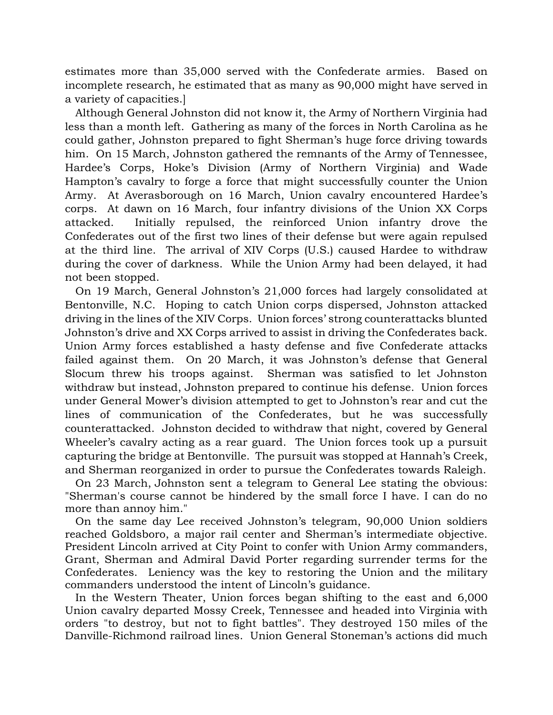estimates more than 35,000 served with the Confederate armies. Based on incomplete research, he estimated that as many as 90,000 might have served in a variety of capacities.]

 Although General Johnston did not know it, the Army of Northern Virginia had less than a month left. Gathering as many of the forces in North Carolina as he could gather, Johnston prepared to fight Sherman's huge force driving towards him. On 15 March, Johnston gathered the remnants of the Army of Tennessee, Hardee's Corps, Hoke's Division (Army of Northern Virginia) and Wade Hampton's cavalry to forge a force that might successfully counter the Union Army. At Averasborough on 16 March, Union cavalry encountered Hardee's corps. At dawn on 16 March, four infantry divisions of the Union XX Corps attacked. Initially repulsed, the reinforced Union infantry drove the Confederates out of the first two lines of their defense but were again repulsed at the third line. The arrival of XIV Corps (U.S.) caused Hardee to withdraw during the cover of darkness. While the Union Army had been delayed, it had not been stopped.

 On 19 March, General Johnston's 21,000 forces had largely consolidated at Bentonville, N.C. Hoping to catch Union corps dispersed, Johnston attacked driving in the lines of the XIV Corps. Union forces' strong counterattacks blunted Johnston's drive and XX Corps arrived to assist in driving the Confederates back. Union Army forces established a hasty defense and five Confederate attacks failed against them. On 20 March, it was Johnston's defense that General Slocum threw his troops against. Sherman was satisfied to let Johnston withdraw but instead, Johnston prepared to continue his defense. Union forces under General Mower's division attempted to get to Johnston's rear and cut the lines of communication of the Confederates, but he was successfully counterattacked. Johnston decided to withdraw that night, covered by General Wheeler's cavalry acting as a rear guard. The Union forces took up a pursuit capturing the bridge at Bentonville. The pursuit was stopped at Hannah's Creek, and Sherman reorganized in order to pursue the Confederates towards Raleigh.

 On 23 March, Johnston sent a telegram to General Lee stating the obvious: "Sherman's course cannot be hindered by the small force I have. I can do no more than annoy him."

 On the same day Lee received Johnston's telegram, 90,000 Union soldiers reached Goldsboro, a major rail center and Sherman's intermediate objective. President Lincoln arrived at City Point to confer with Union Army commanders, Grant, Sherman and Admiral David Porter regarding surrender terms for the Confederates. Leniency was the key to restoring the Union and the military commanders understood the intent of Lincoln's guidance.

 In the Western Theater, Union forces began shifting to the east and 6,000 Union cavalry departed Mossy Creek, Tennessee and headed into Virginia with orders "to destroy, but not to fight battles". They destroyed 150 miles of the Danville-Richmond railroad lines. Union General Stoneman's actions did much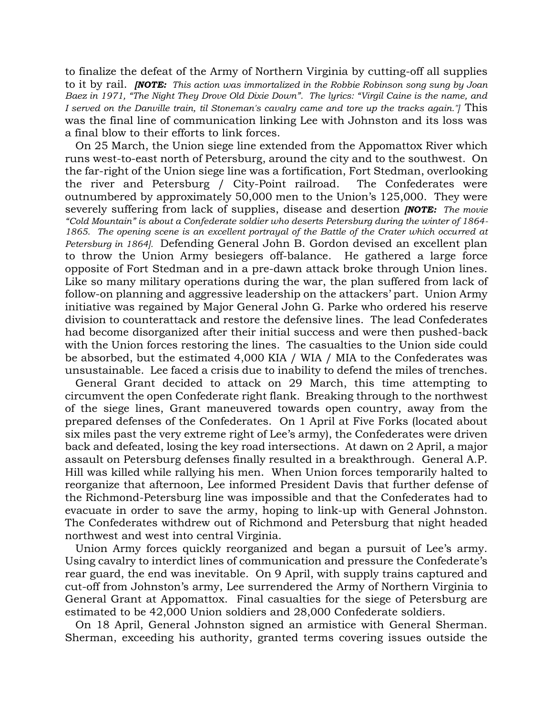to finalize the defeat of the Army of Northern Virginia by cutting-off all supplies to it by rail. *[NOTE: This action was immortalized in the Robbie Robinson song sung by Joan Baez in 1971, "The Night They Drove Old Dixie Down". The lyrics: "Virgil Caine is the name, and I served on the Danville train, til Stoneman's cavalry came and tore up the tracks again."]* This was the final line of communication linking Lee with Johnston and its loss was a final blow to their efforts to link forces.

 On 25 March, the Union siege line extended from the Appomattox River which runs west-to-east north of Petersburg, around the city and to the southwest. On the far-right of the Union siege line was a fortification, Fort Stedman, overlooking the river and Petersburg / City-Point railroad. The Confederates were outnumbered by approximately 50,000 men to the Union's 125,000. They were severely suffering from lack of supplies, disease and desertion *[NOTE: The movie "Cold Mountain" is about a Confederate soldier who deserts Petersburg during the winter of 1864-* 1865. The opening scene is an excellent portrayal of the Battle of the Crater which occurred at *Petersburg in 1864].* Defending General John B. Gordon devised an excellent plan to throw the Union Army besiegers off-balance. He gathered a large force opposite of Fort Stedman and in a pre-dawn attack broke through Union lines. Like so many military operations during the war, the plan suffered from lack of follow-on planning and aggressive leadership on the attackers' part. Union Army initiative was regained by Major General John G. Parke who ordered his reserve division to counterattack and restore the defensive lines. The lead Confederates had become disorganized after their initial success and were then pushed-back with the Union forces restoring the lines. The casualties to the Union side could be absorbed, but the estimated 4,000 KIA / WIA / MIA to the Confederates was unsustainable. Lee faced a crisis due to inability to defend the miles of trenches.

 General Grant decided to attack on 29 March, this time attempting to circumvent the open Confederate right flank. Breaking through to the northwest of the siege lines, Grant maneuvered towards open country, away from the prepared defenses of the Confederates. On 1 April at Five Forks (located about six miles past the very extreme right of Lee's army), the Confederates were driven back and defeated, losing the key road intersections. At dawn on 2 April, a major assault on Petersburg defenses finally resulted in a breakthrough. General A.P. Hill was killed while rallying his men. When Union forces temporarily halted to reorganize that afternoon, Lee informed President Davis that further defense of the Richmond-Petersburg line was impossible and that the Confederates had to evacuate in order to save the army, hoping to link-up with General Johnston. The Confederates withdrew out of Richmond and Petersburg that night headed northwest and west into central Virginia.

 Union Army forces quickly reorganized and began a pursuit of Lee's army. Using cavalry to interdict lines of communication and pressure the Confederate's rear guard, the end was inevitable. On 9 April, with supply trains captured and cut-off from Johnston's army, Lee surrendered the Army of Northern Virginia to General Grant at Appomattox. Final casualties for the siege of Petersburg are estimated to be 42,000 Union soldiers and 28,000 Confederate soldiers.

 On 18 April, General Johnston signed an armistice with General Sherman. Sherman, exceeding his authority, granted terms covering issues outside the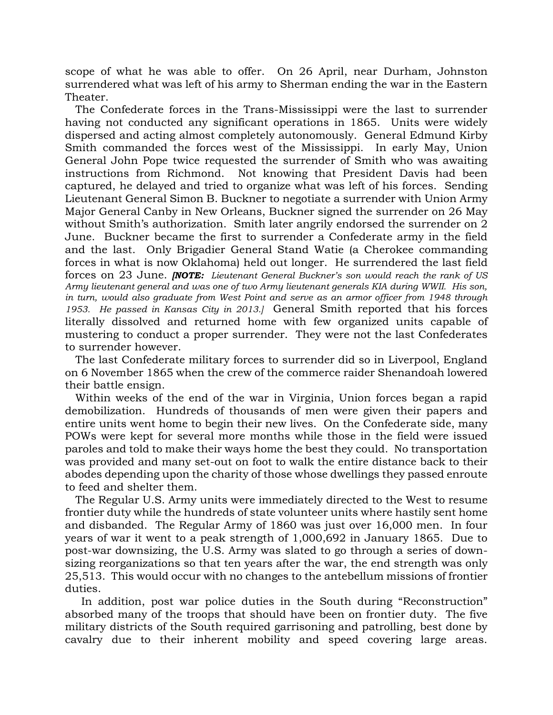scope of what he was able to offer. On 26 April, near Durham, Johnston surrendered what was left of his army to Sherman ending the war in the Eastern Theater.

 The Confederate forces in the Trans-Mississippi were the last to surrender having not conducted any significant operations in 1865. Units were widely dispersed and acting almost completely autonomously. General Edmund Kirby Smith commanded the forces west of the Mississippi. In early May, Union General John Pope twice requested the surrender of Smith who was awaiting instructions from Richmond. Not knowing that President Davis had been captured, he delayed and tried to organize what was left of his forces. Sending Lieutenant General Simon B. Buckner to negotiate a surrender with Union Army Major General Canby in New Orleans, Buckner signed the surrender on 26 May without Smith's authorization. Smith later angrily endorsed the surrender on 2 June. Buckner became the first to surrender a Confederate army in the field and the last. Only Brigadier General Stand Watie (a Cherokee commanding forces in what is now Oklahoma) held out longer. He surrendered the last field forces on 23 June. *[NOTE: Lieutenant General Buckner's son would reach the rank of US Army lieutenant general and was one of two Army lieutenant generals KIA during WWII. His son, in turn, would also graduate from West Point and serve as an armor officer from 1948 through 1953. He passed in Kansas City in 2013.]* General Smith reported that his forces literally dissolved and returned home with few organized units capable of mustering to conduct a proper surrender. They were not the last Confederates to surrender however.

 The last Confederate military forces to surrender did so in Liverpool, England on 6 November 1865 when the crew of the commerce raider Shenandoah lowered their battle ensign.

 Within weeks of the end of the war in Virginia, Union forces began a rapid demobilization. Hundreds of thousands of men were given their papers and entire units went home to begin their new lives. On the Confederate side, many POWs were kept for several more months while those in the field were issued paroles and told to make their ways home the best they could. No transportation was provided and many set-out on foot to walk the entire distance back to their abodes depending upon the charity of those whose dwellings they passed enroute to feed and shelter them.

 The Regular U.S. Army units were immediately directed to the West to resume frontier duty while the hundreds of state volunteer units where hastily sent home and disbanded. The Regular Army of 1860 was just over 16,000 men. In four years of war it went to a peak strength of 1,000,692 in January 1865. Due to post-war downsizing, the U.S. Army was slated to go through a series of downsizing reorganizations so that ten years after the war, the end strength was only 25,513. This would occur with no changes to the antebellum missions of frontier duties.

In addition, post war police duties in the South during "Reconstruction" absorbed many of the troops that should have been on frontier duty. The five military districts of the South required garrisoning and patrolling, best done by cavalry due to their inherent mobility and speed covering large areas.